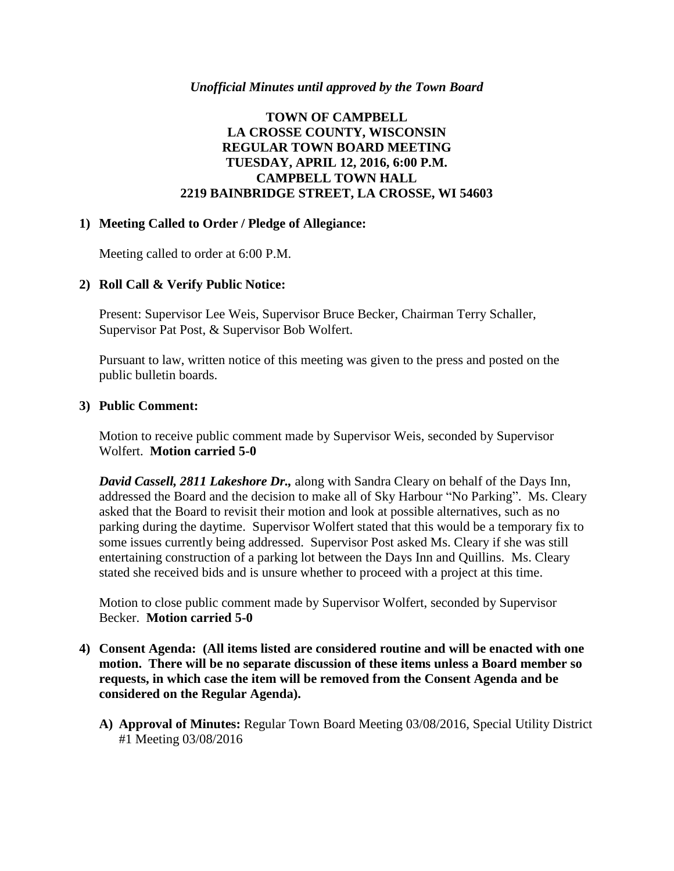#### *Unofficial Minutes until approved by the Town Board*

## **TOWN OF CAMPBELL LA CROSSE COUNTY, WISCONSIN REGULAR TOWN BOARD MEETING TUESDAY, APRIL 12, 2016, 6:00 P.M. CAMPBELL TOWN HALL 2219 BAINBRIDGE STREET, LA CROSSE, WI 54603**

## **1) Meeting Called to Order / Pledge of Allegiance:**

Meeting called to order at 6:00 P.M.

## **2) Roll Call & Verify Public Notice:**

Present: Supervisor Lee Weis, Supervisor Bruce Becker, Chairman Terry Schaller, Supervisor Pat Post, & Supervisor Bob Wolfert.

Pursuant to law, written notice of this meeting was given to the press and posted on the public bulletin boards.

#### **3) Public Comment:**

Motion to receive public comment made by Supervisor Weis, seconded by Supervisor Wolfert. **Motion carried 5-0**

*David Cassell, 2811 Lakeshore Dr.,* along with Sandra Cleary on behalf of the Days Inn, addressed the Board and the decision to make all of Sky Harbour "No Parking". Ms. Cleary asked that the Board to revisit their motion and look at possible alternatives, such as no parking during the daytime. Supervisor Wolfert stated that this would be a temporary fix to some issues currently being addressed. Supervisor Post asked Ms. Cleary if she was still entertaining construction of a parking lot between the Days Inn and Quillins. Ms. Cleary stated she received bids and is unsure whether to proceed with a project at this time.

Motion to close public comment made by Supervisor Wolfert, seconded by Supervisor Becker. **Motion carried 5-0**

- **4) Consent Agenda: (All items listed are considered routine and will be enacted with one motion. There will be no separate discussion of these items unless a Board member so requests, in which case the item will be removed from the Consent Agenda and be considered on the Regular Agenda).**
	- **A) Approval of Minutes:** Regular Town Board Meeting 03/08/2016, Special Utility District #1 Meeting 03/08/2016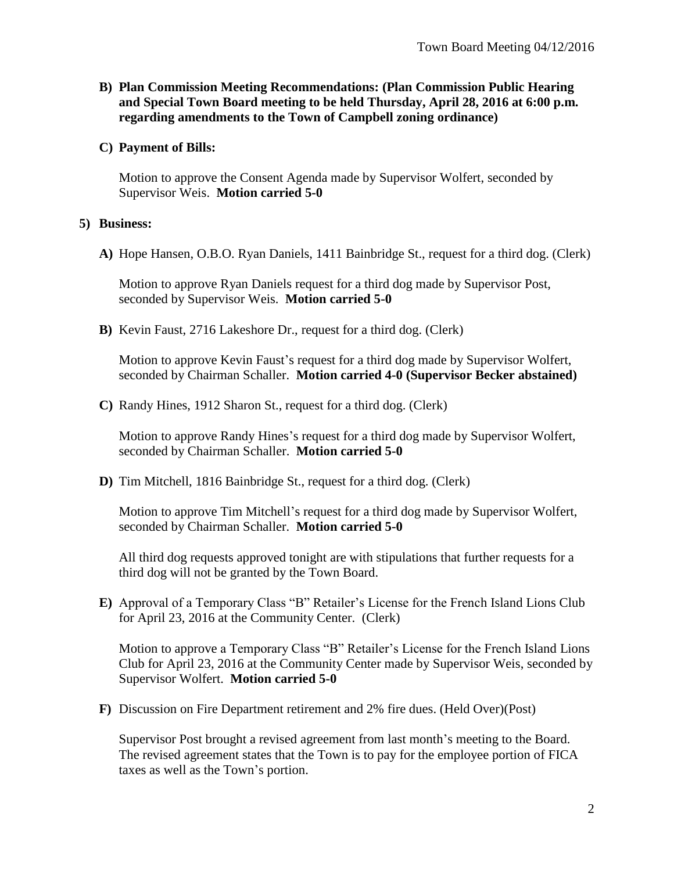- **B) Plan Commission Meeting Recommendations: (Plan Commission Public Hearing and Special Town Board meeting to be held Thursday, April 28, 2016 at 6:00 p.m. regarding amendments to the Town of Campbell zoning ordinance)**
- **C) Payment of Bills:**

Motion to approve the Consent Agenda made by Supervisor Wolfert, seconded by Supervisor Weis. **Motion carried 5-0**

## **5) Business:**

**A)** Hope Hansen, O.B.O. Ryan Daniels, 1411 Bainbridge St., request for a third dog. (Clerk)

Motion to approve Ryan Daniels request for a third dog made by Supervisor Post, seconded by Supervisor Weis. **Motion carried 5-0**

**B)** Kevin Faust, 2716 Lakeshore Dr., request for a third dog. (Clerk)

Motion to approve Kevin Faust's request for a third dog made by Supervisor Wolfert, seconded by Chairman Schaller. **Motion carried 4-0 (Supervisor Becker abstained)**

**C)** Randy Hines, 1912 Sharon St., request for a third dog. (Clerk)

Motion to approve Randy Hines's request for a third dog made by Supervisor Wolfert, seconded by Chairman Schaller. **Motion carried 5-0**

**D)** Tim Mitchell, 1816 Bainbridge St., request for a third dog. (Clerk)

Motion to approve Tim Mitchell's request for a third dog made by Supervisor Wolfert, seconded by Chairman Schaller. **Motion carried 5-0**

All third dog requests approved tonight are with stipulations that further requests for a third dog will not be granted by the Town Board.

**E)** Approval of a Temporary Class "B" Retailer's License for the French Island Lions Club for April 23, 2016 at the Community Center. (Clerk)

Motion to approve a Temporary Class "B" Retailer's License for the French Island Lions Club for April 23, 2016 at the Community Center made by Supervisor Weis, seconded by Supervisor Wolfert. **Motion carried 5-0**

**F)** Discussion on Fire Department retirement and 2% fire dues. (Held Over)(Post)

Supervisor Post brought a revised agreement from last month's meeting to the Board. The revised agreement states that the Town is to pay for the employee portion of FICA taxes as well as the Town's portion.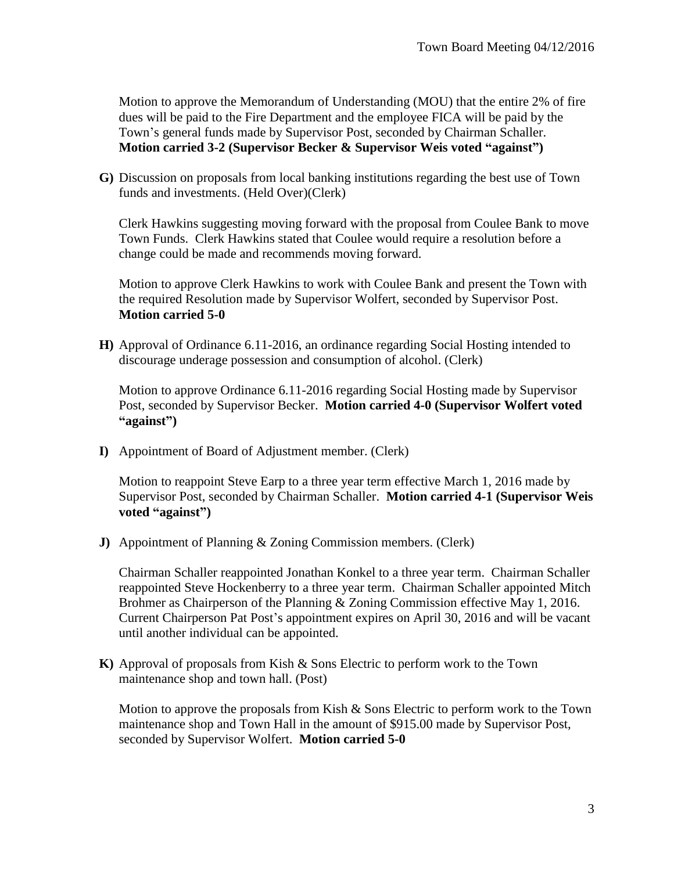Motion to approve the Memorandum of Understanding (MOU) that the entire 2% of fire dues will be paid to the Fire Department and the employee FICA will be paid by the Town's general funds made by Supervisor Post, seconded by Chairman Schaller. **Motion carried 3-2 (Supervisor Becker & Supervisor Weis voted "against")**

**G)** Discussion on proposals from local banking institutions regarding the best use of Town funds and investments. (Held Over)(Clerk)

Clerk Hawkins suggesting moving forward with the proposal from Coulee Bank to move Town Funds. Clerk Hawkins stated that Coulee would require a resolution before a change could be made and recommends moving forward.

Motion to approve Clerk Hawkins to work with Coulee Bank and present the Town with the required Resolution made by Supervisor Wolfert, seconded by Supervisor Post. **Motion carried 5-0**

**H)** Approval of Ordinance 6.11-2016, an ordinance regarding Social Hosting intended to discourage underage possession and consumption of alcohol. (Clerk)

Motion to approve Ordinance 6.11-2016 regarding Social Hosting made by Supervisor Post, seconded by Supervisor Becker. **Motion carried 4-0 (Supervisor Wolfert voted "against")**

**I)** Appointment of Board of Adjustment member. (Clerk)

Motion to reappoint Steve Earp to a three year term effective March 1, 2016 made by Supervisor Post, seconded by Chairman Schaller. **Motion carried 4-1 (Supervisor Weis voted "against")**

**J)** Appointment of Planning & Zoning Commission members. (Clerk)

Chairman Schaller reappointed Jonathan Konkel to a three year term. Chairman Schaller reappointed Steve Hockenberry to a three year term. Chairman Schaller appointed Mitch Brohmer as Chairperson of the Planning & Zoning Commission effective May 1, 2016. Current Chairperson Pat Post's appointment expires on April 30, 2016 and will be vacant until another individual can be appointed.

**K)** Approval of proposals from Kish & Sons Electric to perform work to the Town maintenance shop and town hall. (Post)

Motion to approve the proposals from Kish & Sons Electric to perform work to the Town maintenance shop and Town Hall in the amount of \$915.00 made by Supervisor Post, seconded by Supervisor Wolfert. **Motion carried 5-0**